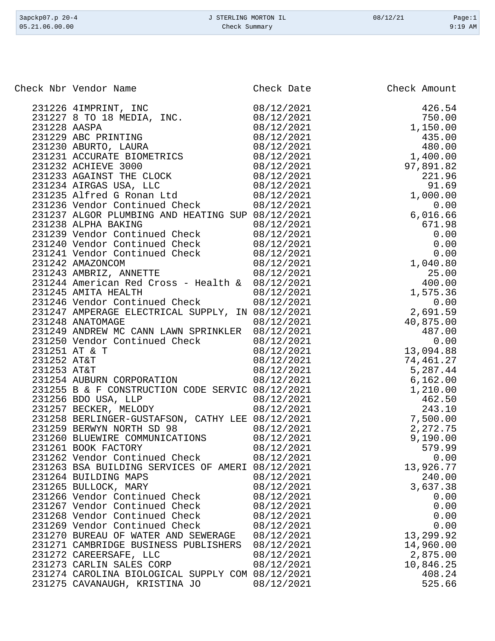| 3apckp07.p 20-4 | J STERLING MORTON IL | 08/12/21 | Page:1    |
|-----------------|----------------------|----------|-----------|
| 05.21.06.00.00  | Check Summary        |          | $9:19$ AM |

| eck sibr vendor Name<br>231225 4 IPDRINT, INC. 09/12/2021<br>231227 8 TO 18 MEDIA, INC. 09/12/2021<br>231228 ARGA DRINTING 08/12/2021<br>231238 ARGA DRINTING 08/12/2021<br>231238 ARGA DRINTING 08/12/2021<br>231231 ARGAN SURA TRUCK 08<br>231261 BOOK FACTORY<br>08/12/2021<br>579.99<br>231262 Vendor Continued Check<br>0.00<br>08/12/2021<br>13,926.77<br>231263 BSA BUILDING SERVICES OF AMERI 08/12/2021<br>231264 BUILDING MAPS<br>08/12/2021<br>240.00<br>3,637.38<br>231265 BULLOCK, MARY<br>08/12/2021<br>231266 Vendor Continued Check<br>08/12/2021<br>0.00<br>0.00<br>231267 Vendor Continued Check<br>08/12/2021<br>0.00<br>231268 Vendor Continued Check<br>08/12/2021<br>0.00<br>231269 Vendor Continued Check<br>08/12/2021<br>13,299.92<br>231270 BUREAU OF WATER AND SEWERAGE<br>08/12/2021<br>14,960.00<br>231271 CAMBRIDGE BUSINESS PUBLISHERS<br>08/12/2021<br>231272 CAREERSAFE, LLC<br>08/12/2021<br>2,875.00<br>231273 CARLIN SALES CORP<br>08/12/2021<br>10,846.25<br>231274 CAROLINA BIOLOGICAL SUPPLY COM 08/12/2021<br>408.24<br>231275 CAVANAUGH, KRISTINA JO | Check Nbr Vendor Name | Check Date | Check Amount |
|-----------------------------------------------------------------------------------------------------------------------------------------------------------------------------------------------------------------------------------------------------------------------------------------------------------------------------------------------------------------------------------------------------------------------------------------------------------------------------------------------------------------------------------------------------------------------------------------------------------------------------------------------------------------------------------------------------------------------------------------------------------------------------------------------------------------------------------------------------------------------------------------------------------------------------------------------------------------------------------------------------------------------------------------------------------------------------------------------|-----------------------|------------|--------------|
|                                                                                                                                                                                                                                                                                                                                                                                                                                                                                                                                                                                                                                                                                                                                                                                                                                                                                                                                                                                                                                                                                               |                       |            |              |
|                                                                                                                                                                                                                                                                                                                                                                                                                                                                                                                                                                                                                                                                                                                                                                                                                                                                                                                                                                                                                                                                                               |                       |            |              |
|                                                                                                                                                                                                                                                                                                                                                                                                                                                                                                                                                                                                                                                                                                                                                                                                                                                                                                                                                                                                                                                                                               |                       |            |              |
|                                                                                                                                                                                                                                                                                                                                                                                                                                                                                                                                                                                                                                                                                                                                                                                                                                                                                                                                                                                                                                                                                               |                       |            |              |
|                                                                                                                                                                                                                                                                                                                                                                                                                                                                                                                                                                                                                                                                                                                                                                                                                                                                                                                                                                                                                                                                                               |                       |            |              |
|                                                                                                                                                                                                                                                                                                                                                                                                                                                                                                                                                                                                                                                                                                                                                                                                                                                                                                                                                                                                                                                                                               |                       |            |              |
|                                                                                                                                                                                                                                                                                                                                                                                                                                                                                                                                                                                                                                                                                                                                                                                                                                                                                                                                                                                                                                                                                               |                       |            |              |
|                                                                                                                                                                                                                                                                                                                                                                                                                                                                                                                                                                                                                                                                                                                                                                                                                                                                                                                                                                                                                                                                                               |                       |            |              |
|                                                                                                                                                                                                                                                                                                                                                                                                                                                                                                                                                                                                                                                                                                                                                                                                                                                                                                                                                                                                                                                                                               |                       |            |              |
|                                                                                                                                                                                                                                                                                                                                                                                                                                                                                                                                                                                                                                                                                                                                                                                                                                                                                                                                                                                                                                                                                               |                       |            |              |
|                                                                                                                                                                                                                                                                                                                                                                                                                                                                                                                                                                                                                                                                                                                                                                                                                                                                                                                                                                                                                                                                                               |                       |            |              |
|                                                                                                                                                                                                                                                                                                                                                                                                                                                                                                                                                                                                                                                                                                                                                                                                                                                                                                                                                                                                                                                                                               |                       |            |              |
|                                                                                                                                                                                                                                                                                                                                                                                                                                                                                                                                                                                                                                                                                                                                                                                                                                                                                                                                                                                                                                                                                               |                       |            |              |
|                                                                                                                                                                                                                                                                                                                                                                                                                                                                                                                                                                                                                                                                                                                                                                                                                                                                                                                                                                                                                                                                                               |                       |            |              |
|                                                                                                                                                                                                                                                                                                                                                                                                                                                                                                                                                                                                                                                                                                                                                                                                                                                                                                                                                                                                                                                                                               |                       |            |              |
|                                                                                                                                                                                                                                                                                                                                                                                                                                                                                                                                                                                                                                                                                                                                                                                                                                                                                                                                                                                                                                                                                               |                       |            |              |
|                                                                                                                                                                                                                                                                                                                                                                                                                                                                                                                                                                                                                                                                                                                                                                                                                                                                                                                                                                                                                                                                                               |                       |            |              |
|                                                                                                                                                                                                                                                                                                                                                                                                                                                                                                                                                                                                                                                                                                                                                                                                                                                                                                                                                                                                                                                                                               |                       |            |              |
|                                                                                                                                                                                                                                                                                                                                                                                                                                                                                                                                                                                                                                                                                                                                                                                                                                                                                                                                                                                                                                                                                               |                       |            |              |
|                                                                                                                                                                                                                                                                                                                                                                                                                                                                                                                                                                                                                                                                                                                                                                                                                                                                                                                                                                                                                                                                                               |                       |            |              |
|                                                                                                                                                                                                                                                                                                                                                                                                                                                                                                                                                                                                                                                                                                                                                                                                                                                                                                                                                                                                                                                                                               |                       |            |              |
|                                                                                                                                                                                                                                                                                                                                                                                                                                                                                                                                                                                                                                                                                                                                                                                                                                                                                                                                                                                                                                                                                               |                       |            |              |
|                                                                                                                                                                                                                                                                                                                                                                                                                                                                                                                                                                                                                                                                                                                                                                                                                                                                                                                                                                                                                                                                                               |                       |            |              |
|                                                                                                                                                                                                                                                                                                                                                                                                                                                                                                                                                                                                                                                                                                                                                                                                                                                                                                                                                                                                                                                                                               |                       |            |              |
|                                                                                                                                                                                                                                                                                                                                                                                                                                                                                                                                                                                                                                                                                                                                                                                                                                                                                                                                                                                                                                                                                               |                       |            |              |
|                                                                                                                                                                                                                                                                                                                                                                                                                                                                                                                                                                                                                                                                                                                                                                                                                                                                                                                                                                                                                                                                                               |                       |            |              |
|                                                                                                                                                                                                                                                                                                                                                                                                                                                                                                                                                                                                                                                                                                                                                                                                                                                                                                                                                                                                                                                                                               |                       |            |              |
|                                                                                                                                                                                                                                                                                                                                                                                                                                                                                                                                                                                                                                                                                                                                                                                                                                                                                                                                                                                                                                                                                               |                       |            |              |
|                                                                                                                                                                                                                                                                                                                                                                                                                                                                                                                                                                                                                                                                                                                                                                                                                                                                                                                                                                                                                                                                                               |                       |            |              |
|                                                                                                                                                                                                                                                                                                                                                                                                                                                                                                                                                                                                                                                                                                                                                                                                                                                                                                                                                                                                                                                                                               |                       |            |              |
|                                                                                                                                                                                                                                                                                                                                                                                                                                                                                                                                                                                                                                                                                                                                                                                                                                                                                                                                                                                                                                                                                               |                       |            |              |
|                                                                                                                                                                                                                                                                                                                                                                                                                                                                                                                                                                                                                                                                                                                                                                                                                                                                                                                                                                                                                                                                                               |                       |            |              |
|                                                                                                                                                                                                                                                                                                                                                                                                                                                                                                                                                                                                                                                                                                                                                                                                                                                                                                                                                                                                                                                                                               |                       |            |              |
|                                                                                                                                                                                                                                                                                                                                                                                                                                                                                                                                                                                                                                                                                                                                                                                                                                                                                                                                                                                                                                                                                               |                       |            |              |
|                                                                                                                                                                                                                                                                                                                                                                                                                                                                                                                                                                                                                                                                                                                                                                                                                                                                                                                                                                                                                                                                                               |                       |            |              |
|                                                                                                                                                                                                                                                                                                                                                                                                                                                                                                                                                                                                                                                                                                                                                                                                                                                                                                                                                                                                                                                                                               |                       |            |              |
|                                                                                                                                                                                                                                                                                                                                                                                                                                                                                                                                                                                                                                                                                                                                                                                                                                                                                                                                                                                                                                                                                               |                       |            |              |
|                                                                                                                                                                                                                                                                                                                                                                                                                                                                                                                                                                                                                                                                                                                                                                                                                                                                                                                                                                                                                                                                                               |                       |            |              |
|                                                                                                                                                                                                                                                                                                                                                                                                                                                                                                                                                                                                                                                                                                                                                                                                                                                                                                                                                                                                                                                                                               |                       |            |              |
|                                                                                                                                                                                                                                                                                                                                                                                                                                                                                                                                                                                                                                                                                                                                                                                                                                                                                                                                                                                                                                                                                               |                       |            |              |
|                                                                                                                                                                                                                                                                                                                                                                                                                                                                                                                                                                                                                                                                                                                                                                                                                                                                                                                                                                                                                                                                                               |                       |            |              |
|                                                                                                                                                                                                                                                                                                                                                                                                                                                                                                                                                                                                                                                                                                                                                                                                                                                                                                                                                                                                                                                                                               |                       |            |              |
|                                                                                                                                                                                                                                                                                                                                                                                                                                                                                                                                                                                                                                                                                                                                                                                                                                                                                                                                                                                                                                                                                               |                       |            |              |
|                                                                                                                                                                                                                                                                                                                                                                                                                                                                                                                                                                                                                                                                                                                                                                                                                                                                                                                                                                                                                                                                                               |                       |            |              |
|                                                                                                                                                                                                                                                                                                                                                                                                                                                                                                                                                                                                                                                                                                                                                                                                                                                                                                                                                                                                                                                                                               |                       |            |              |
|                                                                                                                                                                                                                                                                                                                                                                                                                                                                                                                                                                                                                                                                                                                                                                                                                                                                                                                                                                                                                                                                                               |                       |            |              |
|                                                                                                                                                                                                                                                                                                                                                                                                                                                                                                                                                                                                                                                                                                                                                                                                                                                                                                                                                                                                                                                                                               |                       |            |              |
|                                                                                                                                                                                                                                                                                                                                                                                                                                                                                                                                                                                                                                                                                                                                                                                                                                                                                                                                                                                                                                                                                               |                       |            |              |
|                                                                                                                                                                                                                                                                                                                                                                                                                                                                                                                                                                                                                                                                                                                                                                                                                                                                                                                                                                                                                                                                                               |                       |            |              |
|                                                                                                                                                                                                                                                                                                                                                                                                                                                                                                                                                                                                                                                                                                                                                                                                                                                                                                                                                                                                                                                                                               |                       |            |              |
|                                                                                                                                                                                                                                                                                                                                                                                                                                                                                                                                                                                                                                                                                                                                                                                                                                                                                                                                                                                                                                                                                               |                       |            |              |
|                                                                                                                                                                                                                                                                                                                                                                                                                                                                                                                                                                                                                                                                                                                                                                                                                                                                                                                                                                                                                                                                                               |                       |            |              |
|                                                                                                                                                                                                                                                                                                                                                                                                                                                                                                                                                                                                                                                                                                                                                                                                                                                                                                                                                                                                                                                                                               |                       | 08/12/2021 | 525.66       |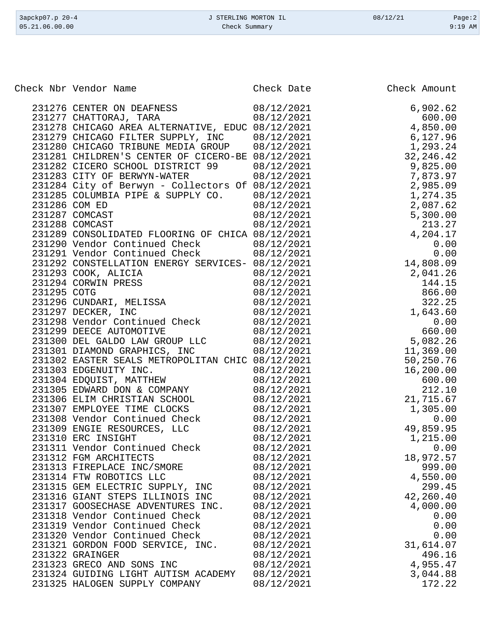| Check Nbr Vendor Name                                               | Check Date | Check Amount |
|---------------------------------------------------------------------|------------|--------------|
| 231276 CENTER ON DEAFNESS                                           | 08/12/2021 | 6,902.62     |
| 231277 CHATTORAJ, TARA                                              | 08/12/2021 | 600.00       |
| 231278 CHICAGO AREA ALTERNATIVE, EDUC 08/12/2021                    |            | 4,850.00     |
| 231279 CHICAGO FILTER SUPPLY, INC                                   | 08/12/2021 | 6,127.96     |
| 231280 CHICAGO TRIBUNE MEDIA GROUP                                  | 08/12/2021 | 1,293.24     |
| 231281 CHILDREN'S CENTER OF CICERO-BE 08/12/2021                    |            | 32, 246. 42  |
| 231282 CICERO SCHOOL DISTRICT 99                                    | 08/12/2021 | 9,825.00     |
| 231283 CITY OF BERWYN-WATER                                         | 08/12/2021 | 7,873.97     |
| 231284 City of Berwyn - Collectors Of 08/12/2021                    |            | 2,985.09     |
| 231285 COLUMBIA PIPE & SUPPLY CO.                                   | 08/12/2021 | 1,274.35     |
| 231286 COM ED                                                       | 08/12/2021 | 2,087.62     |
| 231287 COMCAST                                                      | 08/12/2021 | 5,300.00     |
| 231288 COMCAST                                                      | 08/12/2021 | 213.27       |
| 231289 CONSOLIDATED FLOORING OF CHICA 08/12/2021                    |            | 4,204.17     |
| 231290 Vendor Continued Check                                       | 08/12/2021 | 0.00         |
| 231291 Vendor Continued Check                                       | 08/12/2021 | 0.00         |
| 231292 CONSTELLATION ENERGY SERVICES- 08/12/2021                    |            | 14,808.09    |
| 231293 COOK, ALICIA                                                 | 08/12/2021 | 2,041.26     |
| 231294 CORWIN PRESS                                                 | 08/12/2021 | 144.15       |
| 231295 COTG                                                         | 08/12/2021 | 866.00       |
|                                                                     | 08/12/2021 | 322.25       |
| 231296 CUNDARI, MELISSA<br>231297 DECKER, INC<br>231297 DECKER, INC | 08/12/2021 | 1,643.60     |
| 231298 Vendor Continued Check                                       | 08/12/2021 | 0.00         |
| 231299 DEECE AUTOMOTIVE                                             | 08/12/2021 | 660.00       |
| 231300 DEL GALDO LAW GROUP LLC                                      | 08/12/2021 | 5,082.26     |
| 231301 DIAMOND GRAPHICS, INC                                        | 08/12/2021 | 11,369.00    |
| 231302 EASTER SEALS METROPOLITAN CHIC 08/12/2021                    |            | 50,250.76    |
| 231303 EDGENUITY INC.                                               | 08/12/2021 | 16,200.00    |
| 231304 EDQUIST, MATTHEW                                             | 08/12/2021 | 600.00       |
| 231305 EDWARD DON & COMPANY                                         | 08/12/2021 | 212.10       |
| 231306 ELIM CHRISTIAN SCHOOL                                        | 08/12/2021 | 21,715.67    |
| 231307 EMPLOYEE TIME CLOCKS                                         | 08/12/2021 | 1,305.00     |
| 231308 Vendor Continued Check                                       | 08/12/2021 | 0.00         |
| 231309 ENGIE RESOURCES, LLC                                         | 08/12/2021 | 49,859.95    |
| 231310 ERC INSIGHT                                                  | 08/12/2021 | 1,215.00     |
| 231311 Vendor Continued Check                                       | 08/12/2021 | 0.00         |
| 231312 FGM ARCHITECTS                                               | 08/12/2021 | 18,972.57    |
| 231313 FIREPLACE INC/SMORE                                          | 08/12/2021 | 999.00       |
| 231314 FTW ROBOTICS LLC                                             | 08/12/2021 | 4,550.00     |
| 231315 GEM ELECTRIC SUPPLY, INC                                     | 08/12/2021 | 299.45       |
| 231316 GIANT STEPS ILLINOIS INC                                     | 08/12/2021 | 42,260.40    |
| 231317 GOOSECHASE ADVENTURES INC.                                   | 08/12/2021 | 4,000.00     |
| 231318 Vendor Continued Check                                       | 08/12/2021 | 0.00         |
| 231319 Vendor Continued Check                                       | 08/12/2021 | 0.00         |
| 231320 Vendor Continued Check                                       | 08/12/2021 | 0.00         |
| 231321 GORDON FOOD SERVICE, INC.                                    | 08/12/2021 | 31,614.07    |
| 231322 GRAINGER                                                     | 08/12/2021 | 496.16       |
| 231323 GRECO AND SONS INC                                           | 08/12/2021 | 4,955.47     |
| 231324 GUIDING LIGHT AUTISM ACADEMY                                 | 08/12/2021 | 3,044.88     |
| 231325 HALOGEN SUPPLY COMPANY                                       | 08/12/2021 | 172.22       |
|                                                                     |            |              |

3apckp07.p 20-4 <br>
3apckp07.p 20-4 <br>
3apckp07.p 20-4 <br>
3apckp07.p 20-4 <br>
3apckp07.p 20-4 <br>
2age:2 <br>
2age:2 <br>
2age:2 <br>
2age:2 <br>
2age:2 <br>
2age:2 <br>
2age:2 <br>
2age:2 <br>
2age:2 <br>
2age:2 <br>
2age:2 <br>
2age:2 <br>
2age:2 <br>
2age:2 <br>
2age:2 Check Summary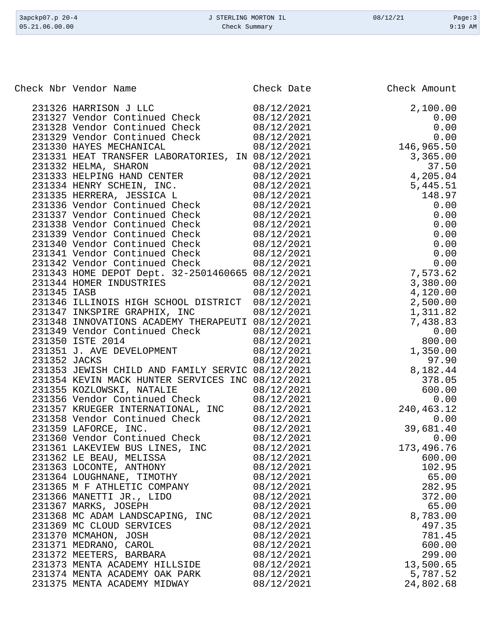| 3apckp07.p 20-4<br>05.21.06.00.00                                             | J STERLING MORTON IL<br>Check Summary | 08/12/21             | Page:3<br>$9:19$ AM |
|-------------------------------------------------------------------------------|---------------------------------------|----------------------|---------------------|
|                                                                               |                                       |                      |                     |
| Check Nbr Vendor Name                                                         | Check Date                            | Check Amount         |                     |
|                                                                               |                                       |                      |                     |
| 231326 HARRISON J LLC                                                         | 08/12/2021                            | 2,100.00             |                     |
| 231327 Vendor Continued Check                                                 | 08/12/2021                            |                      | 0.00                |
| 231328 Vendor Continued Check                                                 | 08/12/2021                            |                      | 0.00                |
| 231329 Vendor Continued Check                                                 | 08/12/2021                            |                      | 0.00                |
| 231330 HAYES MECHANICAL                                                       | 08/12/2021                            | 146,965.50           |                     |
| 231331 HEAT TRANSFER LABORATORIES, IN 08/12/2021                              |                                       | 3,365.00             |                     |
| 231332 HELMA, SHARON                                                          | 08/12/2021                            |                      | 37.50               |
| 231333 HELPING HAND CENTER<br>231334 HENRY SCHEIN, INC.                       | 08/12/2021<br>08/12/2021              | 4,205.04<br>5,445.51 |                     |
| 231335 HERRERA, JESSICA L                                                     | 08/12/2021                            |                      | 148.97              |
| 231336 Vendor Continued Check                                                 | 08/12/2021                            |                      | 0.00                |
| 231337 Vendor Continued Check                                                 | 08/12/2021                            |                      | 0.00                |
| 231338 Vendor Continued Check                                                 | 08/12/2021                            |                      | 0.00                |
| 231339 Vendor Continued Check                                                 | 08/12/2021                            |                      | 0.00                |
| 231340 Vendor Continued Check                                                 | 08/12/2021                            |                      | 0.00                |
| 231341 Vendor Continued Check                                                 | 08/12/2021                            |                      | 0.00                |
| 231342 Vendor Continued Check                                                 | 08/12/2021                            |                      | 0.00                |
| 231343 HOME DEPOT Dept. 32-2501460665 08/12/2021                              |                                       | 7,573.62             |                     |
| 231344 HOMER INDUSTRIES                                                       | 08/12/2021                            | 3,380.00             |                     |
| 231345 IASB                                                                   | 08/12/2021                            | 4,120.00             |                     |
| 231346 ILLINOIS HIGH SCHOOL DISTRICT                                          | 08/12/2021                            | 2,500.00             |                     |
| 231347 INKSPIRE GRAPHIX, INC                                                  | 08/12/2021                            | 1,311.82             |                     |
| 231348 INNOVATIONS ACADEMY THERAPEUTI 08/12/2021                              |                                       | 7,438.83             |                     |
| 231349 Vendor Continued Check                                                 | 08/12/2021                            |                      | 0.00                |
| 231350 ISTE 2014                                                              | 08/12/2021                            |                      | 800.00              |
| 231351 J. AVE DEVELOPMENT                                                     | 08/12/2021                            | 1,350.00             |                     |
| 231352 JACKS                                                                  | 08/12/2021                            |                      | 97.90               |
| 231353 JEWISH CHILD AND FAMILY SERVIC 08/12/2021                              |                                       | 8,182.44             |                     |
| 231354 KEVIN MACK HUNTER SERVICES INC 08/12/2021<br>231355 KOZLOWSKI, NATALIE | 08/12/2021                            |                      | 378.05<br>600.00    |
| 231356 Vendor Continued Check                                                 | 08/12/2021                            |                      | 0.00                |
| 231357 KRUEGER INTERNATIONAL, INC                                             | 08/12/2021                            | 240,463.12           |                     |
| 231358 Vendor Continued Check                                                 | 08/12/2021                            |                      | 0.00                |
| 231359 LAFORCE, INC.                                                          | 08/12/2021                            | 39,681.40            |                     |
| 231360 Vendor Continued Check                                                 | 08/12/2021                            |                      | 0.00                |
| 231361 LAKEVIEW BUS LINES, INC                                                | 08/12/2021                            | 173,496.76           |                     |
| 231362 LE BEAU, MELISSA                                                       | 08/12/2021                            |                      | 600.00              |
| 231363 LOCONTE, ANTHONY                                                       | 08/12/2021                            |                      | 102.95              |
| 231364 LOUGHNANE, TIMOTHY                                                     | 08/12/2021                            |                      | 65.00               |
| 231365 M F ATHLETIC COMPANY                                                   | 08/12/2021                            |                      | 282.95              |
| 231366 MANETTI JR., LIDO                                                      | 08/12/2021                            |                      | 372.00              |
| 231367 MARKS, JOSEPH                                                          | 08/12/2021                            |                      | 65.00               |
| 231368 MC ADAM LANDSCAPING, INC                                               | 08/12/2021                            | 8,783.00             |                     |
| 231369 MC CLOUD SERVICES                                                      | 08/12/2021                            |                      | 497.35              |
| 231370 MCMAHON, JOSH                                                          | 08/12/2021                            |                      | 781.45              |
| 231371 MEDRANO, CAROL                                                         | 08/12/2021                            |                      | 600.00              |

231372 MEETERS, BARBARA 08/12/2021 299.00<br>231373 MENTA ACADEMY HILLSIDE 08/12/2021 13,500.65 231373 MENTA ACADEMY HILLSIDE  $08/12/2021$  13,500.65<br>231374 MENTA ACADEMY OAK PARK  $08/12/2021$  5,787.52 231374 MENTA ACADEMY OAK PARK  $08/12/2021$  5,787.52<br>231375 MENTA ACADEMY MIDWAY  $08/12/2021$  24,802.68

231375 MENTA ACADEMY MIDWAY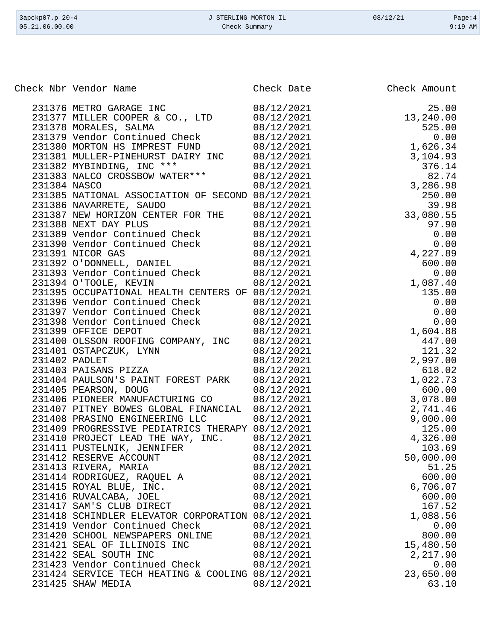|              | Check Nbr Vendor Name                                          | Check Date               | Check Amount                         |
|--------------|----------------------------------------------------------------|--------------------------|--------------------------------------|
|              | 231376 METRO GARAGE INC                                        | 08/12/2021               | 25.00                                |
|              | 231377 MILLER COOPER & CO., LTD                                | 08/12/2021               | 13,240.00                            |
|              | 231378 MORALES, SALMA                                          | 08/12/2021               | 525.00                               |
|              | 231379 Vendor Continued Check                                  | 08/12/2021               | 0.00<br>0.00<br>1,626.34             |
|              | 231380 MORTON HS IMPREST FUND                                  | 08/12/2021               |                                      |
|              | 231381 MULLER-PINEHURST DAIRY INC                              | 08/12/2021               | 3,104.93                             |
|              | 231382 MYBINDING, INC ***                                      | 08/12/2021               | 376.14                               |
|              | 231383 NALCO CROSSBOW WATER***                                 | 08/12/2021               | $3,286.98$<br>$3,286.98$<br>$950.00$ |
| 231384 NASCO |                                                                | 08/12/2021               |                                      |
|              | 231385 NATIONAL ASSOCIATION OF SECOND 08/12/2021               |                          |                                      |
|              | 231386 NAVARRETE, SAUDO                                        | 08/12/2021               | 39.98                                |
|              | 231387 NEW HORIZON CENTER FOR THE                              | 08/12/2021               | 33,080.55                            |
|              | 231388 NEXT DAY PLUS                                           | 08/12/2021               | 97.90                                |
|              | 231389 Vendor Continued Check                                  | 08/12/2021               | 0.00                                 |
|              | 231390 Vendor Continued Check                                  | 08/12/2021               | 0.00                                 |
|              | 231391 NICOR GAS                                               | 08/12/2021               | 4,227.89                             |
|              | 231392 O'DONNELL, DANIEL                                       | 08/12/2021               | 600.00                               |
|              | 231393 Vendor Continued Check                                  | 08/12/2021               | 0.00                                 |
|              | 231394 O'TOOLE, KEVIN                                          | 08/12/2021               | 1,087.40                             |
|              | 231395 OCCUPATIONAL HEALTH CENTERS OF 08/12/2021               |                          | 135.00                               |
|              | 231396 Vendor Continued Check                                  | 08/12/2021               | 0.00                                 |
|              | 231397 Vendor Continued Check<br>231398 Vendor Continued Check | 08/12/2021<br>08/12/2021 | 0.00<br>0.00                         |
|              | 231399 OFFICE DEPOT                                            | 08/12/2021               | 1,604.88                             |
|              | 231400 OLSSON ROOFING COMPANY, INC                             | 08/12/2021               | 447.00                               |
|              | 231401 OSTAPCZUK, LYNN                                         | 08/12/2021               | 121.32                               |
|              | 231402 PADLET                                                  | 08/12/2021               | 2,997.00                             |
|              | 231403 PAISANS PIZZA                                           | 08/12/2021               | 618.02                               |
|              | 231404 PAULSON'S PAINT FOREST PARK                             | 08/12/2021               | 1,022.73                             |
|              | 231405 PEARSON, DOUG                                           | 08/12/2021               | 600.00                               |
|              | 231406 PIONEER MANUFACTURING CO                                | 08/12/2021               | 3,078.00                             |
|              | 231407 PITNEY BOWES GLOBAL FINANCIAL                           | 08/12/2021               | 2,741.46                             |
|              | 231408 PRASINO ENGINEERING LLC                                 | 08/12/2021               | 9,000.00                             |
|              | 231409 PROGRESSIVE PEDIATRICS THERAPY 08/12/2021               |                          | 125.00                               |
|              | 231410 PROJECT LEAD THE WAY, INC.                              | 08/12/2021               | 4,326.00                             |
|              | 231411 PUSTELNIK, JENNIFER                                     | 08/12/2021               | 103.69                               |
|              | 231412 RESERVE ACCOUNT                                         | 08/12/2021               | 50,000.00                            |
|              | 231413 RIVERA, MARIA                                           | 08/12/2021               | 51.25                                |
|              | 231414 RODRIGUEZ, RAQUEL A                                     | 08/12/2021               | 600.00                               |
|              | 231415 ROYAL BLUE, INC.                                        | 08/12/2021               | 6,706.07                             |
|              | 231416 RUVALCABA, JOEL                                         | 08/12/2021               | 600.00                               |
|              | 231417 SAM'S CLUB DIRECT                                       | 08/12/2021               | 167.52                               |
|              | 231418 SCHINDLER ELEVATOR CORPORATION 08/12/2021               |                          | 1,088.56                             |
|              | 231419 Vendor Continued Check                                  | 08/12/2021               | 0.00                                 |
|              | 231420 SCHOOL NEWSPAPERS ONLINE                                | 08/12/2021               | 800.00                               |
|              | 231421 SEAL OF ILLINOIS INC                                    | 08/12/2021               | 15,480.50                            |
|              | 231422 SEAL SOUTH INC                                          | 08/12/2021               | 2,217.90                             |
|              | 231423 Vendor Continued Check                                  | 08/12/2021               | 0.00                                 |
|              | 231424 SERVICE TECH HEATING & COOLING 08/12/2021               |                          | 23,650.00                            |
|              | 231425 SHAW MEDIA                                              | 08/12/2021               | 63.10                                |

3apckp07.p 20-4 <br>
3apckp07.p 20-4 <br>
3apckp07.p 20-4 <br>
3apckp07.p 20-4 <br>
2apckp07.p 20-4 <br>
2apckp07.p 20-4 <br>
2apckp07.p 20-4 <br>
2apckp07.p 20-4 <br>
2apckp07.p 20-4 <br>
2apckp07.p 20-4 <br>
2apckp07.p 20-4 <br>
2apckp07.p 20-4 <br>
2apckp Check Summary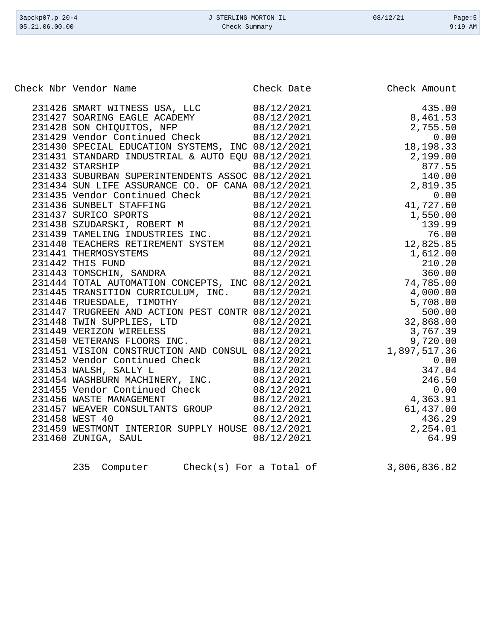| 3apckp07.p 20-4<br>05.21.06.00.00 |                                                  | J STERLING MORTON IL<br>Check Summary | 08/12/21     | Page: $5$<br>$9:19$ AM |
|-----------------------------------|--------------------------------------------------|---------------------------------------|--------------|------------------------|
|                                   |                                                  |                                       |              |                        |
|                                   |                                                  |                                       |              |                        |
|                                   |                                                  |                                       |              |                        |
|                                   |                                                  |                                       |              |                        |
|                                   |                                                  |                                       |              |                        |
|                                   | Check Nbr Vendor Name                            | Check Date                            | Check Amount |                        |
|                                   |                                                  |                                       |              |                        |
|                                   | 231426 SMART WITNESS USA, LLC                    | 08/12/2021                            | 435.00       |                        |
|                                   | 231427 SOARING EAGLE ACADEMY                     | 08/12/2021                            | 8,461.53     |                        |
|                                   | 231428 SON CHIQUITOS, NFP                        | 08/12/2021                            | 2,755.50     |                        |
|                                   | 231429 Vendor Continued Check                    | 08/12/2021                            | 0.00         |                        |
|                                   | 231430 SPECIAL EDUCATION SYSTEMS, INC 08/12/2021 |                                       | 18, 198. 33  |                        |
|                                   | 231431 STANDARD INDUSTRIAL & AUTO EQU 08/12/2021 |                                       | 2,199.00     |                        |
|                                   | 231432 STARSHIP                                  | 08/12/2021                            | 877.55       |                        |
|                                   | 231433 SUBURBAN SUPERINTENDENTS ASSOC 08/12/2021 |                                       | 140.00       |                        |
|                                   | 231434 SUN LIFE ASSURANCE CO. OF CANA 08/12/2021 |                                       | 2,819.35     |                        |
|                                   | 231435 Vendor Continued Check                    | 08/12/2021                            | 0.00         |                        |
|                                   | 231436 SUNBELT STAFFING                          | 08/12/2021                            | 41,727.60    |                        |
|                                   | 231437 SURICO SPORTS                             | 08/12/2021                            | 1,550.00     |                        |
|                                   | 231438 SZUDARSKI, ROBERT M                       | 08/12/2021                            | 139.99       |                        |
|                                   | 231439 TAMELING INDUSTRIES INC.                  | 08/12/2021                            | 76.00        |                        |
|                                   | 231440 TEACHERS RETIREMENT SYSTEM                | 08/12/2021                            | 12,825.85    |                        |
|                                   | 231441 THERMOSYSTEMS                             | 08/12/2021                            | 1,612.00     |                        |
|                                   | 231442 THIS FUND                                 | 08/12/2021                            | 210.20       |                        |
|                                   | 231443 TOMSCHIN, SANDRA                          | 08/12/2021                            | 360.00       |                        |
|                                   | 231444 TOTAL AUTOMATION CONCEPTS, INC 08/12/2021 |                                       | 74,785.00    |                        |
|                                   | 231445 TRANSITION CURRICULUM, INC.               | 08/12/2021                            | 4,000.00     |                        |
|                                   | 231446 TRUESDALE, TIMOTHY                        | 08/12/2021                            | 5,708.00     |                        |
|                                   | 231447 TRUGREEN AND ACTION PEST CONTR 08/12/2021 |                                       | 500.00       |                        |
|                                   | 231448 TWIN SUPPLIES, LTD                        | 08/12/2021                            | 32,868.00    |                        |
|                                   | 231449 VERIZON WIRELESS                          | 08/12/2021                            | 3,767.39     |                        |
|                                   | 231450 VETERANS FLOORS INC.                      | 08/12/2021                            | 9,720.00     |                        |
|                                   | 231451 VISION CONSTRUCTION AND CONSUL 08/12/2021 |                                       | 1,897,517.36 |                        |
|                                   | 231452 Vendor Continued Check                    | 08/12/2021                            | 0.00         |                        |
|                                   | 231453 WALSH, SALLY L                            | 08/12/2021                            | 347.04       |                        |
|                                   | 231454 WASHBURN MACHINERY, INC.                  | 08/12/2021                            | 246.50       |                        |
|                                   | 231455 Vendor Continued Check                    | 08/12/2021                            |              | 0.00                   |
|                                   | 231456 WASTE MANAGEMENT                          | 08/12/2021                            | 4,363.91     |                        |
|                                   | 231457 WEAVER CONSULTANTS GROUP                  | 08/12/2021                            | 61,437.00    |                        |
|                                   | 231458 WEST 40                                   | 08/12/2021                            | 436.29       |                        |
|                                   | 231459 WESTMONT INTERIOR SUPPLY HOUSE 08/12/2021 |                                       | 2,254.01     |                        |
|                                   | 231460 ZUNIGA, SAUL                              | 08/12/2021                            | 64.99        |                        |

| 235<br>Computer |
|-----------------|
|-----------------|

 $Check(s)$  For a Total of  $3,806,836.82$